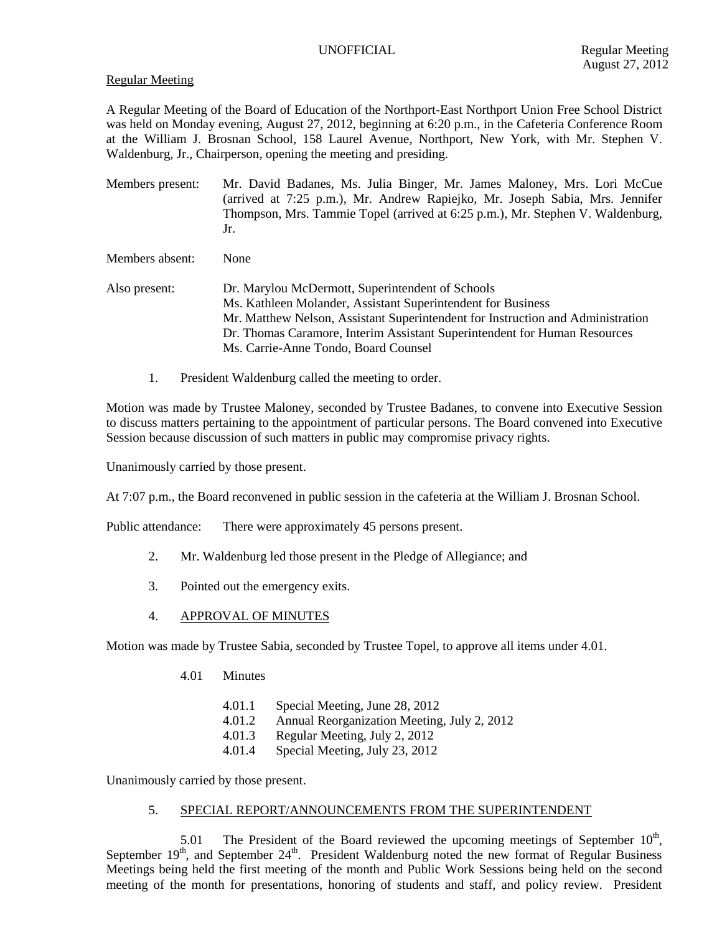### Regular Meeting

A Regular Meeting of the Board of Education of the Northport-East Northport Union Free School District was held on Monday evening, August 27, 2012, beginning at 6:20 p.m., in the Cafeteria Conference Room at the William J. Brosnan School, 158 Laurel Avenue, Northport, New York, with Mr. Stephen V. Waldenburg, Jr., Chairperson, opening the meeting and presiding.

Members present: Mr. David Badanes, Ms. Julia Binger, Mr. James Maloney, Mrs. Lori McCue (arrived at 7:25 p.m.), Mr. Andrew Rapiejko, Mr. Joseph Sabia, Mrs. Jennifer Thompson, Mrs. Tammie Topel (arrived at 6:25 p.m.), Mr. Stephen V. Waldenburg, Jr.

Members absent: None

- Also present: Dr. Marylou McDermott, Superintendent of Schools Ms. Kathleen Molander, Assistant Superintendent for Business Mr. Matthew Nelson, Assistant Superintendent for Instruction and Administration Dr. Thomas Caramore, Interim Assistant Superintendent for Human Resources Ms. Carrie-Anne Tondo, Board Counsel
	- 1. President Waldenburg called the meeting to order.

Motion was made by Trustee Maloney, seconded by Trustee Badanes, to convene into Executive Session to discuss matters pertaining to the appointment of particular persons. The Board convened into Executive Session because discussion of such matters in public may compromise privacy rights.

Unanimously carried by those present.

At 7:07 p.m., the Board reconvened in public session in the cafeteria at the William J. Brosnan School.

Public attendance: There were approximately 45 persons present.

- 2. Mr. Waldenburg led those present in the Pledge of Allegiance; and
- 3. Pointed out the emergency exits.
- 4. APPROVAL OF MINUTES

Motion was made by Trustee Sabia, seconded by Trustee Topel, to approve all items under 4.01.

- 4.01 Minutes
	- 4.01.1 Special Meeting, June 28, 2012
	- 4.01.2 Annual Reorganization Meeting, July 2, 2012
	- 4.01.3 Regular Meeting, July 2, 2012
	- 4.01.4 Special Meeting, July 23, 2012

Unanimously carried by those present.

## 5. SPECIAL REPORT/ANNOUNCEMENTS FROM THE SUPERINTENDENT

5.01 The President of the Board reviewed the upcoming meetings of September  $10<sup>th</sup>$ , September  $19<sup>th</sup>$ , and September  $24<sup>th</sup>$ . President Waldenburg noted the new format of Regular Business Meetings being held the first meeting of the month and Public Work Sessions being held on the second meeting of the month for presentations, honoring of students and staff, and policy review. President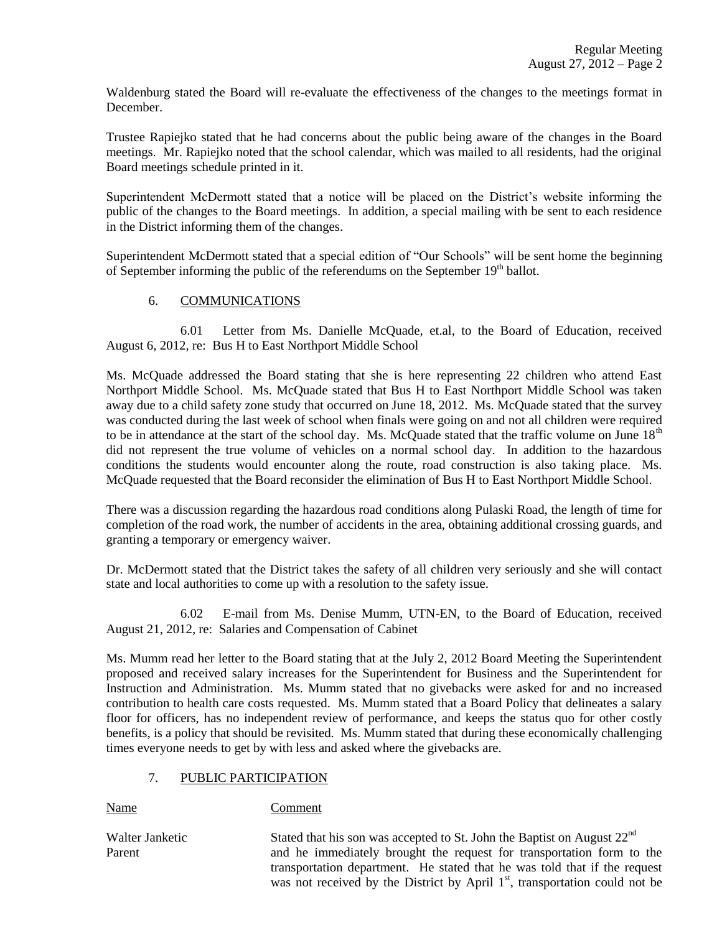Waldenburg stated the Board will re-evaluate the effectiveness of the changes to the meetings format in December.

Trustee Rapiejko stated that he had concerns about the public being aware of the changes in the Board meetings. Mr. Rapiejko noted that the school calendar, which was mailed to all residents, had the original Board meetings schedule printed in it.

Superintendent McDermott stated that a notice will be placed on the District's website informing the public of the changes to the Board meetings. In addition, a special mailing with be sent to each residence in the District informing them of the changes.

Superintendent McDermott stated that a special edition of "Our Schools" will be sent home the beginning of September informing the public of the referendums on the September  $19<sup>th</sup>$  ballot.

## 6. COMMUNICATIONS

6.01 Letter from Ms. Danielle McQuade, et.al, to the Board of Education, received August 6, 2012, re: Bus H to East Northport Middle School

Ms. McQuade addressed the Board stating that she is here representing 22 children who attend East Northport Middle School. Ms. McQuade stated that Bus H to East Northport Middle School was taken away due to a child safety zone study that occurred on June 18, 2012. Ms. McQuade stated that the survey was conducted during the last week of school when finals were going on and not all children were required to be in attendance at the start of the school day. Ms. McQuade stated that the traffic volume on June  $18<sup>th</sup>$ did not represent the true volume of vehicles on a normal school day. In addition to the hazardous conditions the students would encounter along the route, road construction is also taking place. Ms. McQuade requested that the Board reconsider the elimination of Bus H to East Northport Middle School.

There was a discussion regarding the hazardous road conditions along Pulaski Road, the length of time for completion of the road work, the number of accidents in the area, obtaining additional crossing guards, and granting a temporary or emergency waiver.

Dr. McDermott stated that the District takes the safety of all children very seriously and she will contact state and local authorities to come up with a resolution to the safety issue.

6.02 E-mail from Ms. Denise Mumm, UTN-EN, to the Board of Education, received August 21, 2012, re: Salaries and Compensation of Cabinet

Ms. Mumm read her letter to the Board stating that at the July 2, 2012 Board Meeting the Superintendent proposed and received salary increases for the Superintendent for Business and the Superintendent for Instruction and Administration. Ms. Mumm stated that no givebacks were asked for and no increased contribution to health care costs requested. Ms. Mumm stated that a Board Policy that delineates a salary floor for officers, has no independent review of performance, and keeps the status quo for other costly benefits, is a policy that should be revisited. Ms. Mumm stated that during these economically challenging times everyone needs to get by with less and asked where the givebacks are.

## 7. PUBLIC PARTICIPATION

Name Comment

Walter Janketic Stated that his son was accepted to St. John the Baptist on August  $22<sup>nd</sup>$ Parent and he immediately brought the request for transportation form to the transportation department. He stated that he was told that if the request was not received by the District by April 1<sup>st</sup>, transportation could not be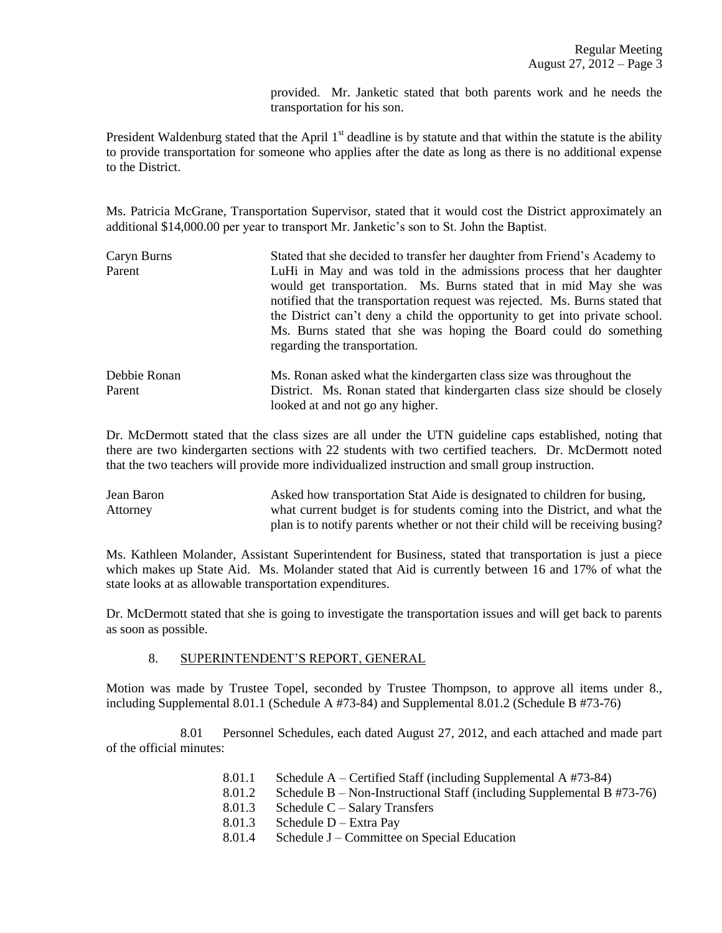provided. Mr. Janketic stated that both parents work and he needs the transportation for his son.

President Waldenburg stated that the April  $1<sup>st</sup>$  deadline is by statute and that within the statute is the ability to provide transportation for someone who applies after the date as long as there is no additional expense to the District.

Ms. Patricia McGrane, Transportation Supervisor, stated that it would cost the District approximately an additional \$14,000.00 per year to transport Mr. Janketic's son to St. John the Baptist.

| Caryn Burns  | Stated that she decided to transfer her daughter from Friend's Academy to<br>LuHi in May and was told in the admissions process that her daughter<br>would get transportation. Ms. Burns stated that in mid May she was<br>notified that the transportation request was rejected. Ms. Burns stated that<br>the District can't deny a child the opportunity to get into private school.<br>Ms. Burns stated that she was hoping the Board could do something<br>regarding the transportation. |  |  |  |  |
|--------------|----------------------------------------------------------------------------------------------------------------------------------------------------------------------------------------------------------------------------------------------------------------------------------------------------------------------------------------------------------------------------------------------------------------------------------------------------------------------------------------------|--|--|--|--|
| Parent       |                                                                                                                                                                                                                                                                                                                                                                                                                                                                                              |  |  |  |  |
| Debbie Ronan | Ms. Ronan asked what the kindergarten class size was throughout the                                                                                                                                                                                                                                                                                                                                                                                                                          |  |  |  |  |
| Parent       | District. Ms. Ronan stated that kindergarten class size should be closely<br>looked at and not go any higher.                                                                                                                                                                                                                                                                                                                                                                                |  |  |  |  |

Dr. McDermott stated that the class sizes are all under the UTN guideline caps established, noting that there are two kindergarten sections with 22 students with two certified teachers. Dr. McDermott noted that the two teachers will provide more individualized instruction and small group instruction.

Jean Baron Asked how transportation Stat Aide is designated to children for busing, Attorney what current budget is for students coming into the District, and what the plan is to notify parents whether or not their child will be receiving busing?

Ms. Kathleen Molander, Assistant Superintendent for Business, stated that transportation is just a piece which makes up State Aid. Ms. Molander stated that Aid is currently between 16 and 17% of what the state looks at as allowable transportation expenditures.

Dr. McDermott stated that she is going to investigate the transportation issues and will get back to parents as soon as possible.

## 8. SUPERINTENDENT'S REPORT, GENERAL

Motion was made by Trustee Topel, seconded by Trustee Thompson, to approve all items under 8., including Supplemental 8.01.1 (Schedule A #73-84) and Supplemental 8.01.2 (Schedule B #73-76)

8.01 Personnel Schedules, each dated August 27, 2012, and each attached and made part of the official minutes:

- 8.01.1 Schedule A Certified Staff (including Supplemental A #73-84)
- 8.01.2 Schedule B Non-Instructional Staff (including Supplemental B #73-76)
- 8.01.3 Schedule C Salary Transfers
- 8.01.3 Schedule D Extra Pay
- 8.01.4 Schedule J Committee on Special Education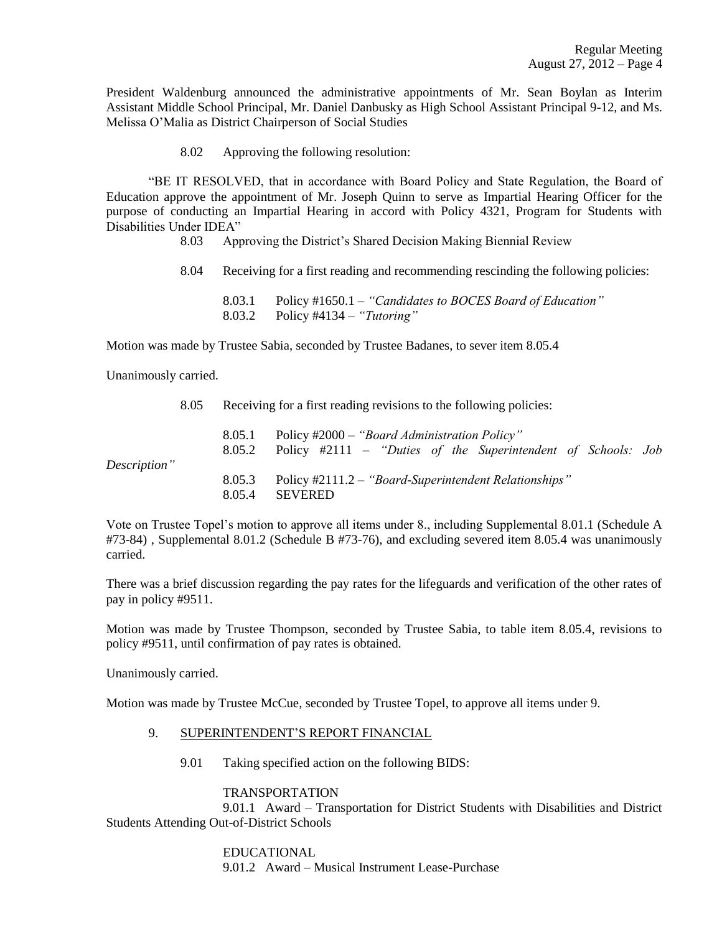President Waldenburg announced the administrative appointments of Mr. Sean Boylan as Interim Assistant Middle School Principal, Mr. Daniel Danbusky as High School Assistant Principal 9-12, and Ms. Melissa O'Malia as District Chairperson of Social Studies

8.02 Approving the following resolution:

"BE IT RESOLVED, that in accordance with Board Policy and State Regulation, the Board of Education approve the appointment of Mr. Joseph Quinn to serve as Impartial Hearing Officer for the purpose of conducting an Impartial Hearing in accord with Policy 4321, Program for Students with Disabilities Under IDEA"

8.03 Approving the District's Shared Decision Making Biennial Review

8.04 Receiving for a first reading and recommending rescinding the following policies:

8.03.1 Policy #1650.1 – *"Candidates to BOCES Board of Education"* 8.03.2 Policy #4134 – *"Tutoring"*

Motion was made by Trustee Sabia, seconded by Trustee Badanes, to sever item 8.05.4

Unanimously carried.

8.05 Receiving for a first reading revisions to the following policies:

|              | 8.05.1<br>8.05.2 | Policy #2000 – "Board Administration Policy"<br>Policy $\#2111$ – "Duties of the Superintendent of Schools: Job |
|--------------|------------------|-----------------------------------------------------------------------------------------------------------------|
| Description" |                  |                                                                                                                 |
|              | 8.05.3<br>8.05.4 | Policy #2111.2 – "Board-Superintendent Relationships"<br>SEVERED                                                |

Vote on Trustee Topel's motion to approve all items under 8., including Supplemental 8.01.1 (Schedule A #73-84) , Supplemental 8.01.2 (Schedule B #73-76), and excluding severed item 8.05.4 was unanimously carried.

There was a brief discussion regarding the pay rates for the lifeguards and verification of the other rates of pay in policy #9511.

Motion was made by Trustee Thompson, seconded by Trustee Sabia, to table item 8.05.4, revisions to policy #9511, until confirmation of pay rates is obtained.

Unanimously carried.

Motion was made by Trustee McCue, seconded by Trustee Topel, to approve all items under 9.

- 9. SUPERINTENDENT'S REPORT FINANCIAL
	- 9.01 Taking specified action on the following BIDS:

## TRANSPORTATION

9.01.1 Award – Transportation for District Students with Disabilities and District Students Attending Out-of-District Schools

> EDUCATIONAL 9.01.2 Award – Musical Instrument Lease-Purchase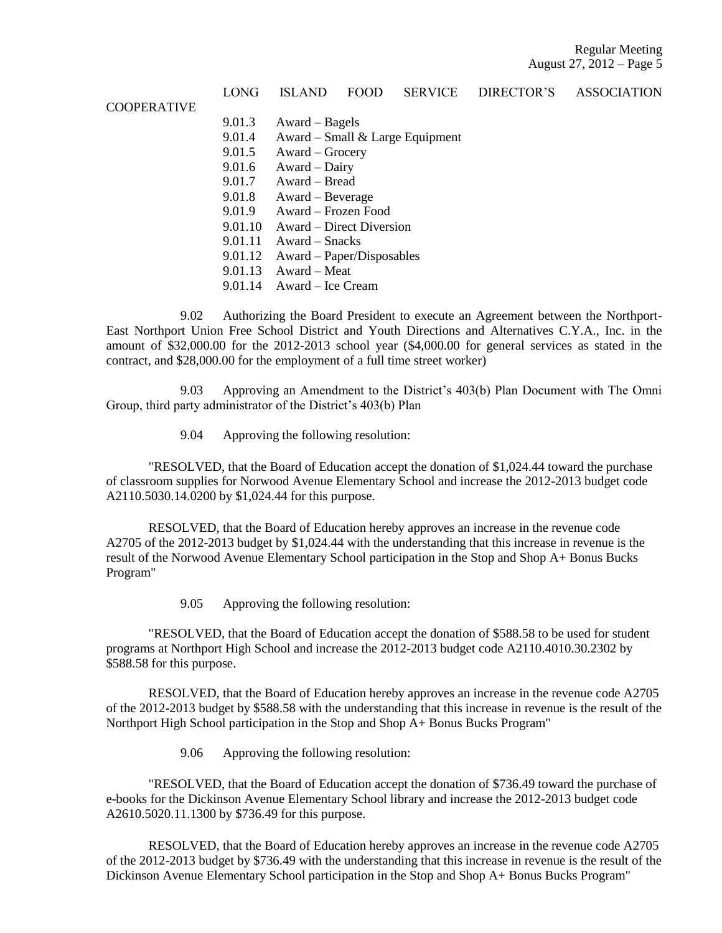|                    | LONG    | <b>ISLAND</b>                   | <b>FOOD</b> | <b>SERVICE</b> | <b>DIRECTOR'S</b> | <b>ASSOCIATION</b> |  |  |  |
|--------------------|---------|---------------------------------|-------------|----------------|-------------------|--------------------|--|--|--|
| <b>COOPERATIVE</b> |         |                                 |             |                |                   |                    |  |  |  |
|                    | 9.01.3  | $Award - Bagels$                |             |                |                   |                    |  |  |  |
|                    | 9.01.4  | Award – Small & Large Equipment |             |                |                   |                    |  |  |  |
|                    | 9.01.5  | Award – Grocery                 |             |                |                   |                    |  |  |  |
|                    | 9.01.6  | Award – Dairy                   |             |                |                   |                    |  |  |  |
|                    | 9.01.7  | Award – Bread                   |             |                |                   |                    |  |  |  |
|                    | 9.01.8  | Award – Beverage                |             |                |                   |                    |  |  |  |
|                    | 9.01.9  | Award – Frozen Food             |             |                |                   |                    |  |  |  |
|                    | 9.01.10 | Award – Direct Diversion        |             |                |                   |                    |  |  |  |
|                    | 9.01.11 | Award – Snacks                  |             |                |                   |                    |  |  |  |
|                    | 9.01.12 | Award – Paper/Disposables       |             |                |                   |                    |  |  |  |
|                    | 9.01.13 | Award - Meat                    |             |                |                   |                    |  |  |  |
|                    | 9.01.14 | Award – Ice Cream               |             |                |                   |                    |  |  |  |
|                    |         |                                 |             |                |                   |                    |  |  |  |

9.02 Authorizing the Board President to execute an Agreement between the Northport-East Northport Union Free School District and Youth Directions and Alternatives C.Y.A., Inc. in the amount of \$32,000.00 for the 2012-2013 school year (\$4,000.00 for general services as stated in the contract, and \$28,000.00 for the employment of a full time street worker)

9.03 Approving an Amendment to the District's 403(b) Plan Document with The Omni Group, third party administrator of the District's 403(b) Plan

9.04 Approving the following resolution:

"RESOLVED, that the Board of Education accept the donation of \$1,024.44 toward the purchase of classroom supplies for Norwood Avenue Elementary School and increase the 2012-2013 budget code A2110.5030.14.0200 by \$1,024.44 for this purpose.

RESOLVED, that the Board of Education hereby approves an increase in the revenue code A2705 of the 2012-2013 budget by \$1,024.44 with the understanding that this increase in revenue is the result of the Norwood Avenue Elementary School participation in the Stop and Shop A+ Bonus Bucks Program"

9.05 Approving the following resolution:

"RESOLVED, that the Board of Education accept the donation of \$588.58 to be used for student programs at Northport High School and increase the 2012-2013 budget code A2110.4010.30.2302 by \$588.58 for this purpose.

RESOLVED, that the Board of Education hereby approves an increase in the revenue code A2705 of the 2012-2013 budget by \$588.58 with the understanding that this increase in revenue is the result of the Northport High School participation in the Stop and Shop A+ Bonus Bucks Program"

9.06 Approving the following resolution:

"RESOLVED, that the Board of Education accept the donation of \$736.49 toward the purchase of e-books for the Dickinson Avenue Elementary School library and increase the 2012-2013 budget code A2610.5020.11.1300 by \$736.49 for this purpose.

RESOLVED, that the Board of Education hereby approves an increase in the revenue code A2705 of the 2012-2013 budget by \$736.49 with the understanding that this increase in revenue is the result of the Dickinson Avenue Elementary School participation in the Stop and Shop A+ Bonus Bucks Program"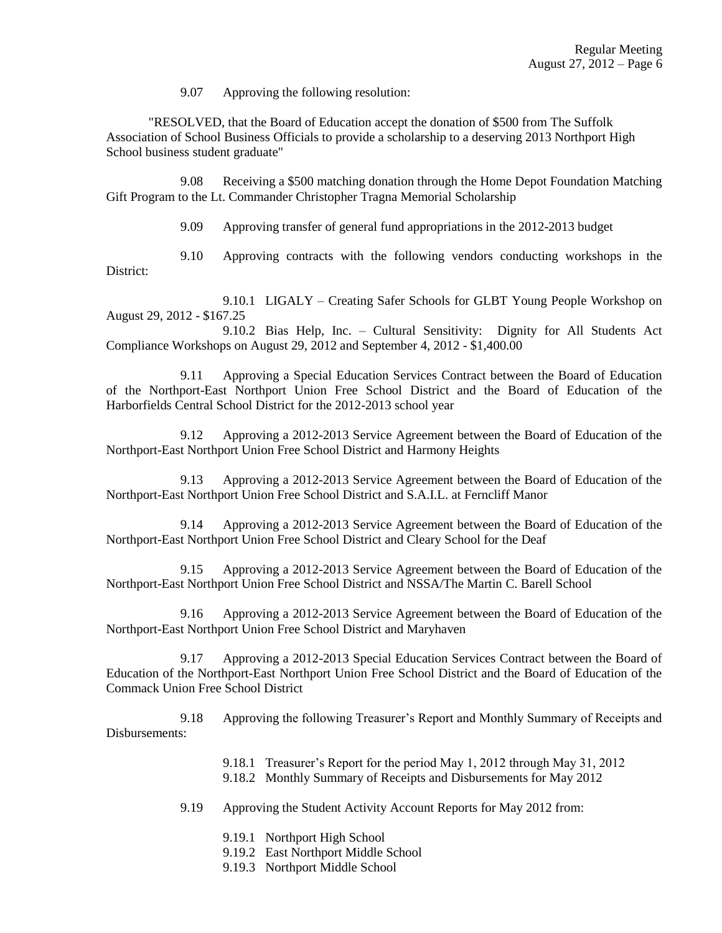9.07 Approving the following resolution:

"RESOLVED, that the Board of Education accept the donation of \$500 from The Suffolk Association of School Business Officials to provide a scholarship to a deserving 2013 Northport High School business student graduate"

9.08 Receiving a \$500 matching donation through the Home Depot Foundation Matching Gift Program to the Lt. Commander Christopher Tragna Memorial Scholarship

9.09 Approving transfer of general fund appropriations in the 2012-2013 budget

9.10 Approving contracts with the following vendors conducting workshops in the District:

9.10.1 LIGALY – Creating Safer Schools for GLBT Young People Workshop on August 29, 2012 - \$167.25

9.10.2 Bias Help, Inc. – Cultural Sensitivity: Dignity for All Students Act Compliance Workshops on August 29, 2012 and September 4, 2012 - \$1,400.00

9.11 Approving a Special Education Services Contract between the Board of Education of the Northport-East Northport Union Free School District and the Board of Education of the Harborfields Central School District for the 2012-2013 school year

9.12 Approving a 2012-2013 Service Agreement between the Board of Education of the Northport-East Northport Union Free School District and Harmony Heights

9.13 Approving a 2012-2013 Service Agreement between the Board of Education of the Northport-East Northport Union Free School District and S.A.I.L. at Ferncliff Manor

9.14 Approving a 2012-2013 Service Agreement between the Board of Education of the Northport-East Northport Union Free School District and Cleary School for the Deaf

9.15 Approving a 2012-2013 Service Agreement between the Board of Education of the Northport-East Northport Union Free School District and NSSA/The Martin C. Barell School

9.16 Approving a 2012-2013 Service Agreement between the Board of Education of the Northport-East Northport Union Free School District and Maryhaven

9.17 Approving a 2012-2013 Special Education Services Contract between the Board of Education of the Northport-East Northport Union Free School District and the Board of Education of the Commack Union Free School District

9.18 Approving the following Treasurer's Report and Monthly Summary of Receipts and Disbursements:

- 9.18.1 Treasurer's Report for the period May 1, 2012 through May 31, 2012
- 9.18.2 Monthly Summary of Receipts and Disbursements for May 2012
- 9.19 Approving the Student Activity Account Reports for May 2012 from:
	- 9.19.1 Northport High School
	- 9.19.2 East Northport Middle School
	- 9.19.3 Northport Middle School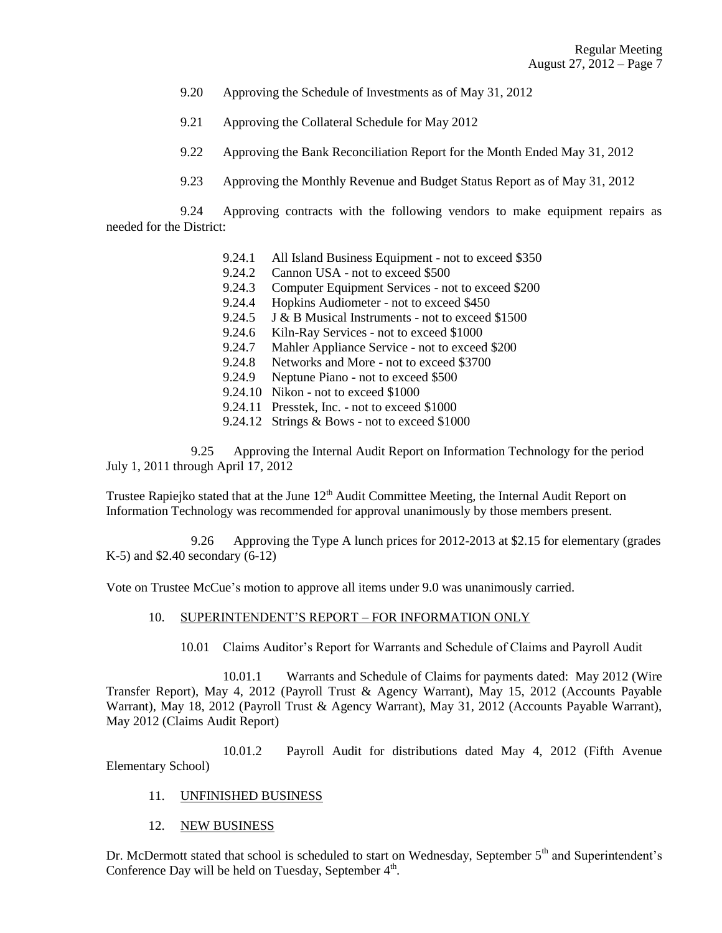- 9.20 Approving the Schedule of Investments as of May 31, 2012
- 9.21 Approving the Collateral Schedule for May 2012
- 9.22 Approving the Bank Reconciliation Report for the Month Ended May 31, 2012
- 9.23 Approving the Monthly Revenue and Budget Status Report as of May 31, 2012

9.24 Approving contracts with the following vendors to make equipment repairs as needed for the District:

- 9.24.1 All Island Business Equipment not to exceed \$350
- 9.24.2 Cannon USA not to exceed \$500
- 9.24.3 Computer Equipment Services not to exceed \$200
- 9.24.4 Hopkins Audiometer not to exceed \$450
- 9.24.5 J & B Musical Instruments not to exceed \$1500
- 9.24.6 Kiln-Ray Services not to exceed \$1000
- 9.24.7 Mahler Appliance Service not to exceed \$200
- 9.24.8 Networks and More not to exceed \$3700
- 9.24.9 Neptune Piano not to exceed \$500
- 9.24.10 Nikon not to exceed \$1000
- 9.24.11 Presstek, Inc. not to exceed \$1000
- 9.24.12 Strings & Bows not to exceed \$1000

9.25 Approving the Internal Audit Report on Information Technology for the period July 1, 2011 through April 17, 2012

Trustee Rapiejko stated that at the June 12<sup>th</sup> Audit Committee Meeting, the Internal Audit Report on Information Technology was recommended for approval unanimously by those members present.

9.26 Approving the Type A lunch prices for 2012-2013 at \$2.15 for elementary (grades K-5) and \$2.40 secondary (6-12)

Vote on Trustee McCue's motion to approve all items under 9.0 was unanimously carried.

## 10. SUPERINTENDENT'S REPORT – FOR INFORMATION ONLY

10.01 Claims Auditor's Report for Warrants and Schedule of Claims and Payroll Audit

10.01.1 Warrants and Schedule of Claims for payments dated: May 2012 (Wire Transfer Report), May 4, 2012 (Payroll Trust & Agency Warrant), May 15, 2012 (Accounts Payable Warrant), May 18, 2012 (Payroll Trust & Agency Warrant), May 31, 2012 (Accounts Payable Warrant), May 2012 (Claims Audit Report)

10.01.2 Payroll Audit for distributions dated May 4, 2012 (Fifth Avenue Elementary School)

## 11. UNFINISHED BUSINESS

12. NEW BUSINESS

Dr. McDermott stated that school is scheduled to start on Wednesday, September 5<sup>th</sup> and Superintendent's Conference Day will be held on Tuesday, September 4<sup>th</sup>.